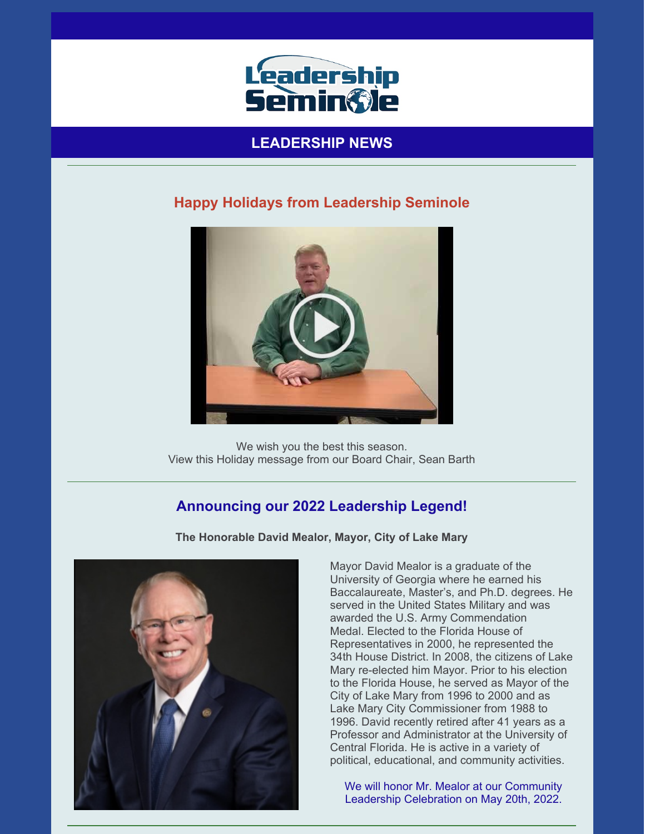

## **LEADERSHIP NEWS**

### **Happy Holidays from Leadership Seminole**



We wish you the best this season. View this Holiday message from our Board Chair, Sean Barth

## **Announcing our 2022 Leadership Legend!**



**The Honorable David Mealor, Mayor, City of Lake Mary**

Mayor David Mealor is a graduate of the University of Georgia where he earned his Baccalaureate, Master's, and Ph.D. degrees. He served in the United States Military and was awarded the U.S. Army Commendation Medal. Elected to the Florida House of Representatives in 2000, he represented the 34th House District. In 2008, the citizens of Lake Mary re-elected him Mayor. Prior to his election to the Florida House, he served as Mayor of the City of Lake Mary from 1996 to 2000 and as Lake Mary City Commissioner from 1988 to 1996. David recently retired after 41 years as a Professor and Administrator at the University of Central Florida. He is active in a variety of political, educational, and community activities.

We will honor Mr. Mealor at our Community Leadership Celebration on May 20th, 2022.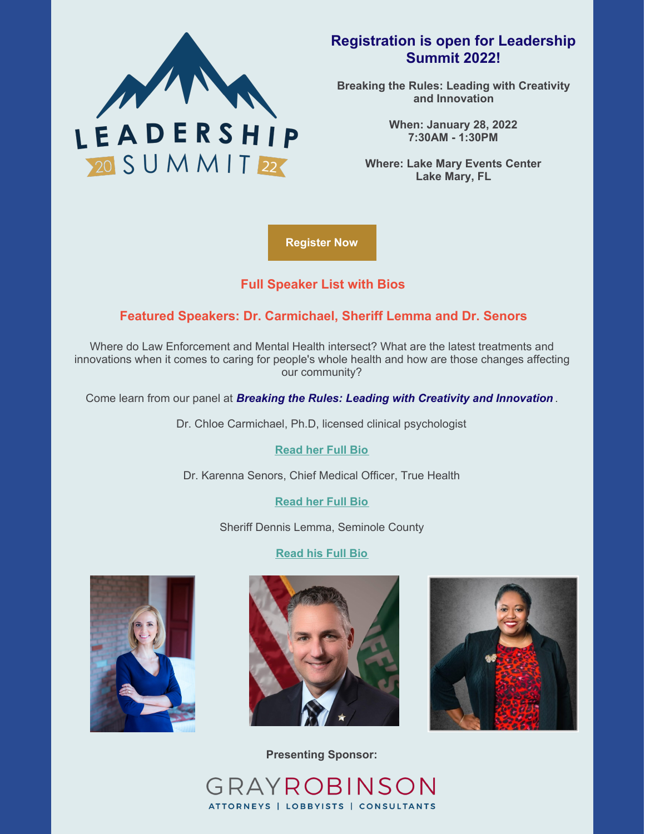

### **Registration is open for Leadership Summit 2022!**

**Breaking the Rules: Leading with Creativity and Innovation**

> **When: January 28, 2022 7:30AM - 1:30PM**

**Where: Lake Mary Events Center Lake Mary, FL**

**[Register](https://leadershipseminole.org/event/summit/) Now**

#### **Full [Speaker](https://files.constantcontact.com/206c3f27be/dd9b913d-a688-407d-a355-b4e131a9c11a.pdf) List with Bios**

#### **Featured Speakers: Dr. Carmichael, Sheriff Lemma and Dr. Senors**

Where do Law Enforcement and Mental Health intersect? What are the latest treatments and innovations when it comes to caring for people's whole health and how are those changes affecting our community?

Come learn from our panel at *Breaking the Rules: Leading with Creativity and Innovation* .

Dr. Chloe Carmichael, Ph.D, licensed clinical psychologist

**[Read](https://files.constantcontact.com/206c3f27be/f0b26cba-5cdc-46b1-b656-3bdab1e85750.pdf) her Full Bio**

Dr. Karenna Senors, Chief Medical Officer, True Health

**[Read](https://files.constantcontact.com/206c3f27be/e01ee58d-9655-4ba4-9dd7-facf881a298e.pdf) her Full Bio**

Sheriff Dennis Lemma, Seminole County

#### **[Read](https://files.constantcontact.com/206c3f27be/0c844480-ecec-41dd-bef8-a1e0035ff726.pdf) his Full Bio**







**Presenting Sponsor:**

GRAYROBINSON ATTORNEYS | LOBBYISTS | CONSULTANTS